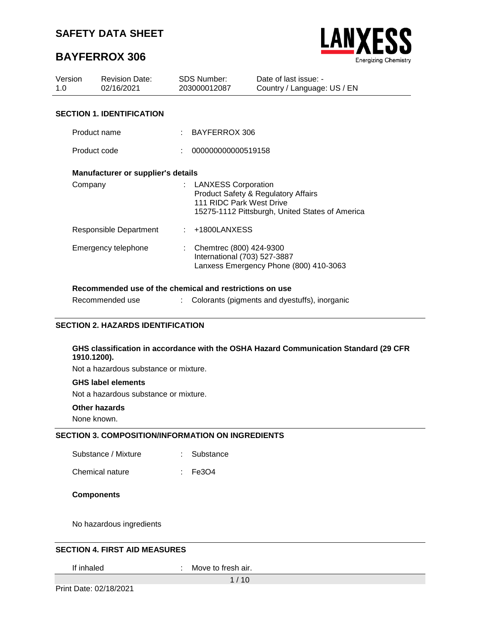# **BAYFERROX 306**



| Version<br>1.0 | <b>Revision Date:</b><br>02/16/2021 |      | SDS Number:<br>203000012087                             | Date of last issue: -<br>Country / Language: US / EN                                              |
|----------------|-------------------------------------|------|---------------------------------------------------------|---------------------------------------------------------------------------------------------------|
|                | <b>SECTION 1. IDENTIFICATION</b>    |      |                                                         |                                                                                                   |
| Product name   |                                     |      | BAYFERROX 306                                           |                                                                                                   |
| Product code   |                                     |      | 000000000000519158                                      |                                                                                                   |
|                | Manufacturer or supplier's details  |      |                                                         |                                                                                                   |
| Company        |                                     |      | : LANXESS Corporation<br>111 RIDC Park West Drive       | <b>Product Safety &amp; Regulatory Affairs</b><br>15275-1112 Pittsburgh, United States of America |
|                | Responsible Department              | di l | +1800LANXESS                                            |                                                                                                   |
|                | Emergency telephone                 |      | Chemtrec (800) 424-9300<br>International (703) 527-3887 | Lanxess Emergency Phone (800) 410-3063                                                            |

#### **Recommended use of the chemical and restrictions on use**

| Recommended use |  | Colorants (pigments and dyestuffs), inorganic |  |  |
|-----------------|--|-----------------------------------------------|--|--|
|-----------------|--|-----------------------------------------------|--|--|

#### **SECTION 2. HAZARDS IDENTIFICATION**

#### **GHS classification in accordance with the OSHA Hazard Communication Standard (29 CFR 1910.1200).**

Not a hazardous substance or mixture.

#### **GHS label elements**

Not a hazardous substance or mixture.

#### **Other hazards**

None known.

#### **SECTION 3. COMPOSITION/INFORMATION ON INGREDIENTS**

Substance / Mixture : Substance

Chemical nature : Fe3O4

#### **Components**

No hazardous ingredients

#### **SECTION 4. FIRST AID MEASURES**

If inhaled : Move to fresh air.

1 / 10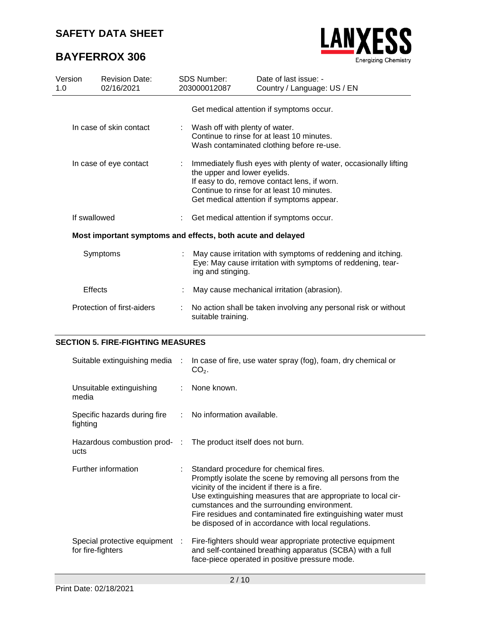# **BAYFERROX 306**



| Version<br>1.0 | <b>Revision Date:</b><br>02/16/2021                         |  | SDS Number:<br>203000012087                                                                                                                                                                                                                  | Date of last issue: -<br>Country / Language: US / EN                                                                          |  |
|----------------|-------------------------------------------------------------|--|----------------------------------------------------------------------------------------------------------------------------------------------------------------------------------------------------------------------------------------------|-------------------------------------------------------------------------------------------------------------------------------|--|
|                |                                                             |  |                                                                                                                                                                                                                                              | Get medical attention if symptoms occur.                                                                                      |  |
|                | In case of skin contact                                     |  | : Wash off with plenty of water.<br>Continue to rinse for at least 10 minutes.<br>Wash contaminated clothing before re-use.                                                                                                                  |                                                                                                                               |  |
|                | In case of eye contact                                      |  | Immediately flush eyes with plenty of water, occasionally lifting<br>the upper and lower eyelids.<br>If easy to do, remove contact lens, if worn.<br>Continue to rinse for at least 10 minutes.<br>Get medical attention if symptoms appear. |                                                                                                                               |  |
| If swallowed   |                                                             |  |                                                                                                                                                                                                                                              | Get medical attention if symptoms occur.                                                                                      |  |
|                | Most important symptoms and effects, both acute and delayed |  |                                                                                                                                                                                                                                              |                                                                                                                               |  |
|                | Symptoms                                                    |  | ing and stinging.                                                                                                                                                                                                                            | : May cause irritation with symptoms of reddening and itching.<br>Eye: May cause irritation with symptoms of reddening, tear- |  |
| Effects        |                                                             |  |                                                                                                                                                                                                                                              | May cause mechanical irritation (abrasion).                                                                                   |  |
|                | Protection of first-aiders                                  |  | suitable training.                                                                                                                                                                                                                           | No action shall be taken involving any personal risk or without                                                               |  |

### **SECTION 5. FIRE-FIGHTING MEASURES**

| Suitable extinguishing media :                                       | In case of fire, use water spray (fog), foam, dry chemical or<br>$CO2$ .                                                                                                                                                                                                                                                                                                                        |
|----------------------------------------------------------------------|-------------------------------------------------------------------------------------------------------------------------------------------------------------------------------------------------------------------------------------------------------------------------------------------------------------------------------------------------------------------------------------------------|
| Unsuitable extinguishing<br>media                                    | : None known.                                                                                                                                                                                                                                                                                                                                                                                   |
| Specific hazards during fire : No information available.<br>fighting |                                                                                                                                                                                                                                                                                                                                                                                                 |
| ucts                                                                 | Hazardous combustion prod- : The product itself does not burn.                                                                                                                                                                                                                                                                                                                                  |
| Further information                                                  | : Standard procedure for chemical fires.<br>Promptly isolate the scene by removing all persons from the<br>vicinity of the incident if there is a fire.<br>Use extinguishing measures that are appropriate to local cir-<br>cumstances and the surrounding environment.<br>Fire residues and contaminated fire extinguishing water must<br>be disposed of in accordance with local regulations. |
| Special protective equipment :<br>for fire-fighters                  | Fire-fighters should wear appropriate protective equipment<br>and self-contained breathing apparatus (SCBA) with a full<br>face-piece operated in positive pressure mode.                                                                                                                                                                                                                       |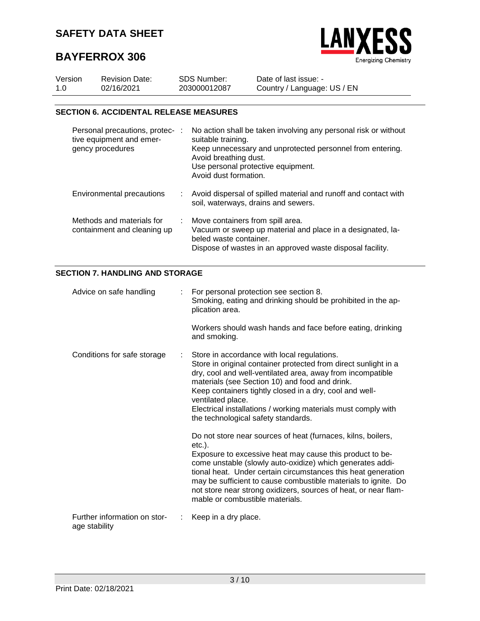



| Version | <b>Revision Date:</b> | <b>SDS Number:</b> | Date of last issue: -       |
|---------|-----------------------|--------------------|-----------------------------|
| 1.0     | 02/16/2021            | 203000012087       | Country / Language: US / EN |

### **SECTION 6. ACCIDENTAL RELEASE MEASURES**

| Personal precautions, protec- :<br>tive equipment and emer-<br>gency procedures |    | No action shall be taken involving any personal risk or without<br>suitable training.<br>Keep unnecessary and unprotected personnel from entering.<br>Avoid breathing dust.<br>Use personal protective equipment.<br>Avoid dust formation. |
|---------------------------------------------------------------------------------|----|--------------------------------------------------------------------------------------------------------------------------------------------------------------------------------------------------------------------------------------------|
| Environmental precautions                                                       | ÷. | Avoid dispersal of spilled material and runoff and contact with<br>soil, waterways, drains and sewers.                                                                                                                                     |
| Methods and materials for<br>containment and cleaning up                        | ÷  | Move containers from spill area.<br>Vacuum or sweep up material and place in a designated, la-<br>beled waste container.<br>Dispose of wastes in an approved waste disposal facility.                                                      |

### **SECTION 7. HANDLING AND STORAGE**

| Advice on safe handling                       | : For personal protection see section 8.<br>Smoking, eating and drinking should be prohibited in the ap-<br>plication area.                                                                                                                                                                                                                                                                                                              |
|-----------------------------------------------|------------------------------------------------------------------------------------------------------------------------------------------------------------------------------------------------------------------------------------------------------------------------------------------------------------------------------------------------------------------------------------------------------------------------------------------|
|                                               | Workers should wash hands and face before eating, drinking<br>and smoking.                                                                                                                                                                                                                                                                                                                                                               |
| Conditions for safe storage                   | Store in accordance with local regulations.<br>Store in original container protected from direct sunlight in a<br>dry, cool and well-ventilated area, away from incompatible<br>materials (see Section 10) and food and drink.<br>Keep containers tightly closed in a dry, cool and well-<br>ventilated place.<br>Electrical installations / working materials must comply with<br>the technological safety standards.                   |
|                                               | Do not store near sources of heat (furnaces, kilns, boilers,<br>etc.).<br>Exposure to excessive heat may cause this product to be-<br>come unstable (slowly auto-oxidize) which generates addi-<br>tional heat. Under certain circumstances this heat generation<br>may be sufficient to cause combustible materials to ignite. Do<br>not store near strong oxidizers, sources of heat, or near flam-<br>mable or combustible materials. |
| Further information on stor-<br>age stability | Keep in a dry place.                                                                                                                                                                                                                                                                                                                                                                                                                     |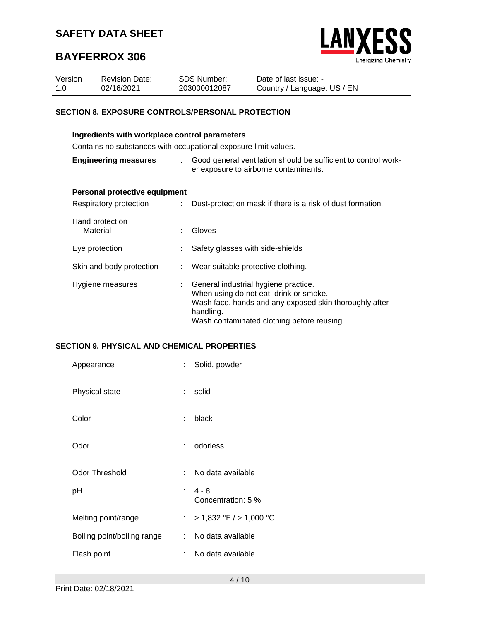

# **BAYFERROX 306**

| Version | <b>Revision Date:</b> | <b>SDS Number:</b> | Date of last issue: -       |
|---------|-----------------------|--------------------|-----------------------------|
| -1.0    | 02/16/2021            | 203000012087       | Country / Language: US / EN |

### **SECTION 8. EXPOSURE CONTROLS/PERSONAL PROTECTION**

| Ingredients with workplace control parameters                   |      |                                                                                                                                                                                                     |  |  |
|-----------------------------------------------------------------|------|-----------------------------------------------------------------------------------------------------------------------------------------------------------------------------------------------------|--|--|
| Contains no substances with occupational exposure limit values. |      |                                                                                                                                                                                                     |  |  |
| <b>Engineering measures</b>                                     | t in | Good general ventilation should be sufficient to control work-<br>er exposure to airborne contaminants.                                                                                             |  |  |
| Personal protective equipment                                   |      |                                                                                                                                                                                                     |  |  |
| Respiratory protection                                          |      | Dust-protection mask if there is a risk of dust formation.                                                                                                                                          |  |  |
| Hand protection<br>Material                                     |      | Gloves                                                                                                                                                                                              |  |  |
| Eye protection                                                  |      | Safety glasses with side-shields                                                                                                                                                                    |  |  |
| Skin and body protection                                        |      | : Wear suitable protective clothing.                                                                                                                                                                |  |  |
| Hygiene measures                                                |      | General industrial hygiene practice.<br>When using do not eat, drink or smoke.<br>Wash face, hands and any exposed skin thoroughly after<br>handling.<br>Wash contaminated clothing before reusing. |  |  |

### **SECTION 9. PHYSICAL AND CHEMICAL PROPERTIES**

| Appearance                  | t.               | Solid, powder                   |
|-----------------------------|------------------|---------------------------------|
| Physical state              | ÷.               | solid                           |
| Color                       | ÷                | black                           |
| Odor                        | ÷.               | odorless                        |
| Odor Threshold              | t.               | No data available               |
| рH                          |                  | $: 4 - 8$<br>Concentration: 5 % |
| Melting point/range         | $\mathbb{R}^{n}$ | $> 1,832$ °F $/ > 1,000$ °C     |
| Boiling point/boiling range | t in             | No data available               |
| Flash point                 | t                | No data available               |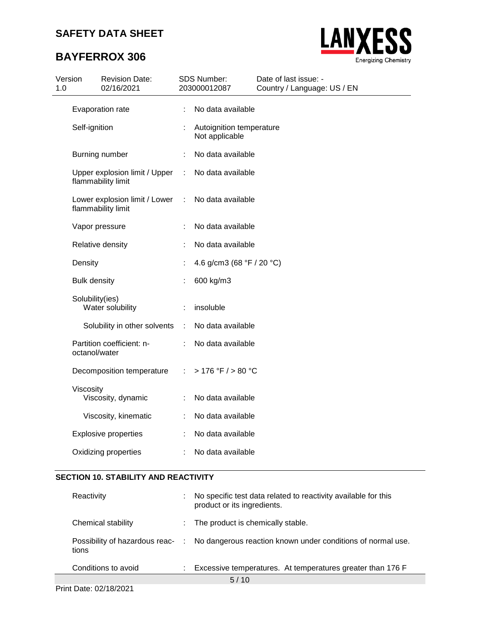# **BAYFERROX 306**



| Version<br>1.0 |                     | <b>Revision Date:</b><br>02/16/2021                 |    | <b>SDS Number:</b><br>203000012087          | Date of last issue: -<br>Country / Language: US / EN |
|----------------|---------------------|-----------------------------------------------------|----|---------------------------------------------|------------------------------------------------------|
|                |                     | Evaporation rate                                    | ÷  | No data available                           |                                                      |
|                | Self-ignition       |                                                     |    | Autoignition temperature<br>Not applicable  |                                                      |
|                |                     | Burning number                                      |    | No data available                           |                                                      |
|                |                     | Upper explosion limit / Upper<br>flammability limit | ÷  | No data available                           |                                                      |
|                |                     | Lower explosion limit / Lower<br>flammability limit | ÷  | No data available                           |                                                      |
|                |                     | Vapor pressure                                      |    | No data available                           |                                                      |
|                |                     | Relative density                                    |    | No data available                           |                                                      |
|                | Density             |                                                     |    | 4.6 g/cm3 (68 $\degree$ F / 20 $\degree$ C) |                                                      |
|                | <b>Bulk density</b> |                                                     |    | 600 kg/m3                                   |                                                      |
|                | Solubility(ies)     | Water solubility                                    | ÷  | insoluble                                   |                                                      |
|                |                     | Solubility in other solvents                        | ÷  | No data available                           |                                                      |
|                | octanol/water       | Partition coefficient: n-                           |    | No data available                           |                                                      |
|                |                     | Decomposition temperature                           | ÷. | >176 °F / > 80 °C                           |                                                      |
|                | Viscosity           | Viscosity, dynamic                                  |    | No data available                           |                                                      |
|                |                     | Viscosity, kinematic                                |    | No data available                           |                                                      |
|                |                     | <b>Explosive properties</b>                         |    | No data available                           |                                                      |
|                |                     | Oxidizing properties                                |    | No data available                           |                                                      |

### **SECTION 10. STABILITY AND REACTIVITY**

| Reactivity          | ÷ | No specific test data related to reactivity available for this<br>product or its ingredients. |
|---------------------|---|-----------------------------------------------------------------------------------------------|
| Chemical stability  |   | The product is chemically stable.                                                             |
| tions               |   | Possibility of hazardous reac- : No dangerous reaction known under conditions of normal use.  |
| Conditions to avoid |   | Excessive temperatures. At temperatures greater than 176 F                                    |
|                     |   | 5/10                                                                                          |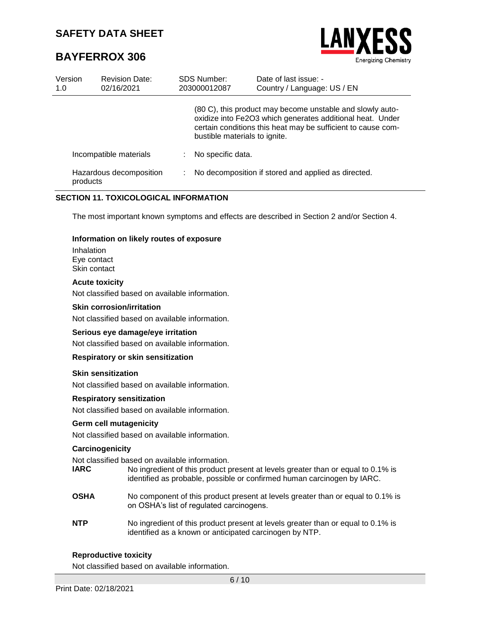# **BAYFERROX 306**



| Version<br>1.0 | <b>Revision Date:</b><br>02/16/2021 | <b>SDS Number:</b><br>203000012087 | Date of last issue: -<br>Country / Language: US / EN                                                                                                                                   |
|----------------|-------------------------------------|------------------------------------|----------------------------------------------------------------------------------------------------------------------------------------------------------------------------------------|
|                |                                     | bustible materials to ignite.      | (80 C), this product may become unstable and slowly auto-<br>oxidize into Fe2O3 which generates additional heat. Under<br>certain conditions this heat may be sufficient to cause com- |
|                | Incompatible materials              | No specific data.                  |                                                                                                                                                                                        |
|                | Hazardous decomposition<br>products |                                    | No decomposition if stored and applied as directed.                                                                                                                                    |

### **SECTION 11. TOXICOLOGICAL INFORMATION**

The most important known symptoms and effects are described in Section 2 and/or Section 4.

#### **Information on likely routes of exposure**

Inhalation Eye contact Skin contact

#### **Acute toxicity**

Not classified based on available information.

#### **Skin corrosion/irritation**

Not classified based on available information.

#### **Serious eye damage/eye irritation**

Not classified based on available information.

#### **Respiratory or skin sensitization**

#### **Skin sensitization**

Not classified based on available information.

#### **Respiratory sensitization**

Not classified based on available information.

#### **Germ cell mutagenicity**

Not classified based on available information.

#### **Carcinogenicity**

Not classified based on available information.

| IARC | No ingredient of this product present at levels greater than or equal to 0.1% is |
|------|----------------------------------------------------------------------------------|
|      | identified as probable, possible or confirmed human carcinogen by IARC.          |

- **OSHA** No component of this product present at levels greater than or equal to 0.1% is on OSHA's list of regulated carcinogens.
- **NTP** No ingredient of this product present at levels greater than or equal to 0.1% is identified as a known or anticipated carcinogen by NTP.

#### **Reproductive toxicity**

Not classified based on available information.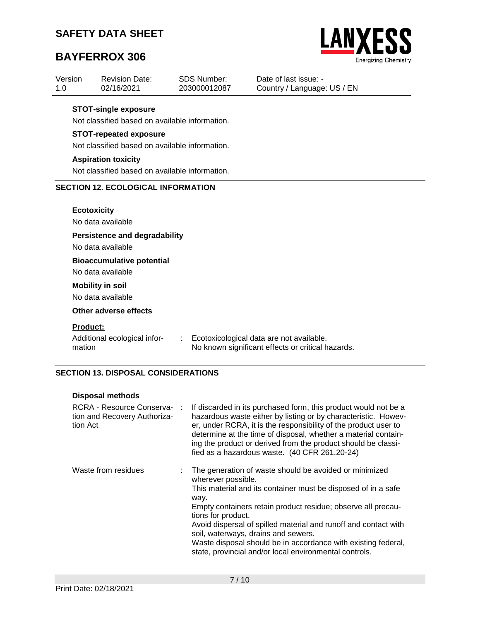Revision Date:

# **BAYFERROX 306**

Version 1.0



02/16/2021 203000012087 Country / Language: US / EN **STOT-single exposure** Not classified based on available information. **STOT-repeated exposure** Not classified based on available information. **Aspiration toxicity** Not classified based on available information. **SECTION 12. ECOLOGICAL INFORMATION Ecotoxicity** No data available **Persistence and degradability**

Date of last issue: -

SDS Number:

No data available

**Bioaccumulative potential**

No data available

### **Mobility in soil**

No data available

### **Other adverse effects**

#### **Product:**

Additional ecological information

: Ecotoxicological data are not available. No known significant effects or critical hazards.

### **SECTION 13. DISPOSAL CONSIDERATIONS**

#### **Disposal methods**

| RCRA - Resource Conserva- :<br>tion and Recovery Authoriza-<br>tion Act | If discarded in its purchased form, this product would not be a<br>hazardous waste either by listing or by characteristic. Howev-<br>er, under RCRA, it is the responsibility of the product user to<br>determine at the time of disposal, whether a material contain-<br>ing the product or derived from the product should be classi-<br>fied as a hazardous waste. (40 CFR 261.20-24)                                                                                         |
|-------------------------------------------------------------------------|----------------------------------------------------------------------------------------------------------------------------------------------------------------------------------------------------------------------------------------------------------------------------------------------------------------------------------------------------------------------------------------------------------------------------------------------------------------------------------|
| Waste from residues                                                     | The generation of waste should be avoided or minimized<br>wherever possible.<br>This material and its container must be disposed of in a safe<br>way.<br>Empty containers retain product residue; observe all precau-<br>tions for product.<br>Avoid dispersal of spilled material and runoff and contact with<br>soil, waterways, drains and sewers.<br>Waste disposal should be in accordance with existing federal,<br>state, provincial and/or local environmental controls. |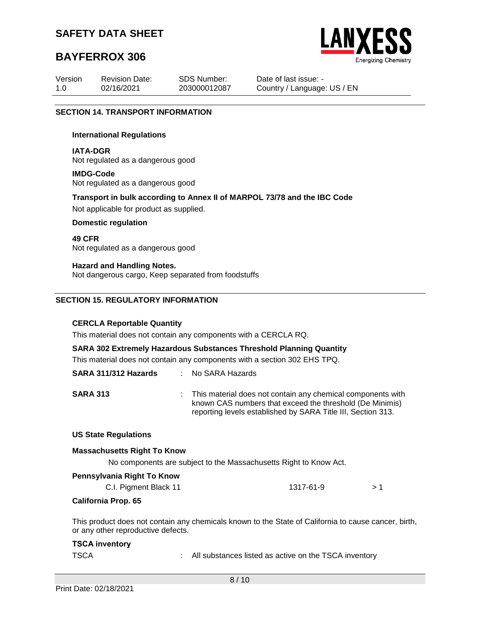# **BAYFERROX 306**



| Version | <b>Revision Date:</b> | <b>SDS Number:</b> | Date of last issue: -       |
|---------|-----------------------|--------------------|-----------------------------|
| 1.0     | 02/16/2021            | 203000012087       | Country / Language: US / EN |

#### **SECTION 14. TRANSPORT INFORMATION**

#### **International Regulations**

**IATA-DGR** Not regulated as a dangerous good

#### **IMDG-Code** Not regulated as a dangerous good

**Transport in bulk according to Annex II of MARPOL 73/78 and the IBC Code** Not applicable for product as supplied.

#### **Domestic regulation**

**49 CFR** Not regulated as a dangerous good

#### **Hazard and Handling Notes.**

Not dangerous cargo, Keep separated from foodstuffs

#### **SECTION 15. REGULATORY INFORMATION**

#### **CERCLA Reportable Quantity**

This material does not contain any components with a CERCLA RQ.

#### **SARA 302 Extremely Hazardous Substances Threshold Planning Quantity**

This material does not contain any components with a section 302 EHS TPQ.

| SARA 311/312 Hazards | : No SARA Hazards                                                                                                                                                                         |
|----------------------|-------------------------------------------------------------------------------------------------------------------------------------------------------------------------------------------|
| <b>SARA 313</b>      | : This material does not contain any chemical components with<br>known CAS numbers that exceed the threshold (De Minimis)<br>reporting levels established by SARA Title III, Section 313. |

#### **US State Regulations**

#### **Massachusetts Right To Know**

No components are subject to the Massachusetts Right to Know Act.

|  | Pennsylvania Right To Know |  |
|--|----------------------------|--|
|  |                            |  |

| C.I. Pigment Black 11 | 1317-61-9 |  |
|-----------------------|-----------|--|
|                       |           |  |

#### **California Prop. 65**

This product does not contain any chemicals known to the State of California to cause cancer, birth, or any other reproductive defects.

#### **TSCA inventory**

TSCA : All substances listed as active on the TSCA inventory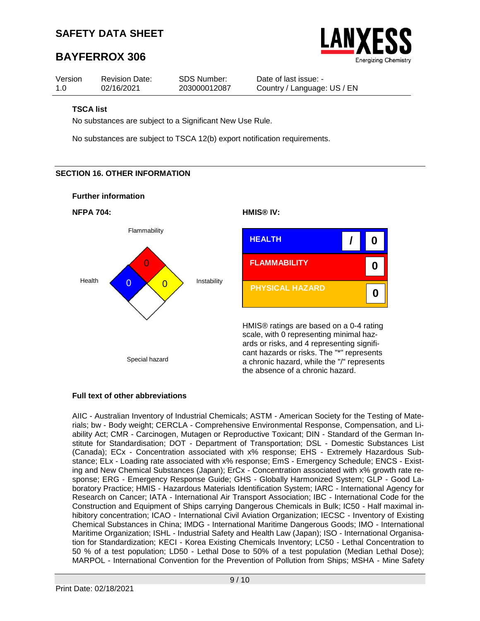# **BAYFERROX 306**



| Version | <b>Revision Date:</b> | SDS Number:  | Date of last issue: -       |
|---------|-----------------------|--------------|-----------------------------|
| 1.0     | 02/16/2021            | 203000012087 | Country / Language: US / EN |

### **TSCA list**

No substances are subject to a Significant New Use Rule.

No substances are subject to TSCA 12(b) export notification requirements.

### **SECTION 16. OTHER INFORMATION**

#### **Further information**



# **Full text of other abbreviations**

AIIC - Australian Inventory of Industrial Chemicals; ASTM - American Society for the Testing of Materials; bw - Body weight; CERCLA - Comprehensive Environmental Response, Compensation, and Liability Act; CMR - Carcinogen, Mutagen or Reproductive Toxicant; DIN - Standard of the German Institute for Standardisation; DOT - Department of Transportation; DSL - Domestic Substances List (Canada); ECx - Concentration associated with x% response; EHS - Extremely Hazardous Substance; ELx - Loading rate associated with x% response; EmS - Emergency Schedule; ENCS - Existing and New Chemical Substances (Japan); ErCx - Concentration associated with x% growth rate response; ERG - Emergency Response Guide; GHS - Globally Harmonized System; GLP - Good Laboratory Practice; HMIS - Hazardous Materials Identification System; IARC - International Agency for Research on Cancer; IATA - International Air Transport Association; IBC - International Code for the Construction and Equipment of Ships carrying Dangerous Chemicals in Bulk; IC50 - Half maximal inhibitory concentration; ICAO - International Civil Aviation Organization; IECSC - Inventory of Existing Chemical Substances in China; IMDG - International Maritime Dangerous Goods; IMO - International Maritime Organization; ISHL - Industrial Safety and Health Law (Japan); ISO - International Organisation for Standardization; KECI - Korea Existing Chemicals Inventory; LC50 - Lethal Concentration to 50 % of a test population; LD50 - Lethal Dose to 50% of a test population (Median Lethal Dose); MARPOL - International Convention for the Prevention of Pollution from Ships; MSHA - Mine Safety